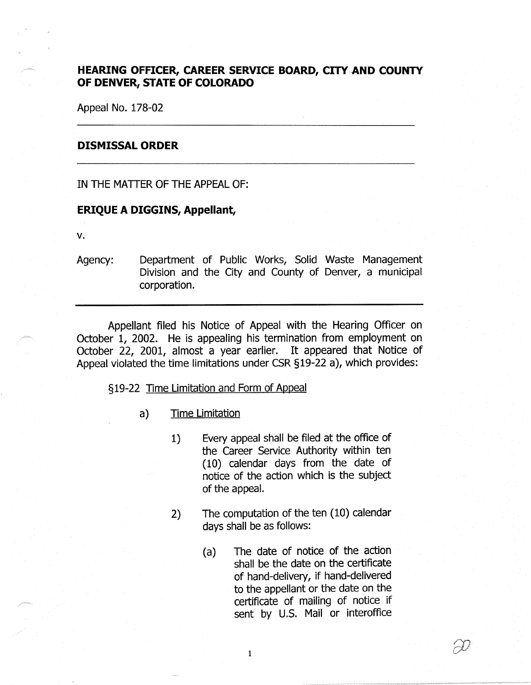## **HEARING OFFICER, CAREER SERVICE BOARD, CITY-AND COUNTY OF DENVER, STATE OF COLORADO**

Appeal No. 178-02

## **DISMISSAL ORDER**

IN THE MATTER OF THE APPEAL OF:

## **ERIQUE A DIGGINS, Appellant,**

**V.** 

Agency: Department of Public Works, Solid Waste Management Division and the City and County of Denver, a municipal corporation.

Appellant filed his Notice of Appeal with the Hearing Officer on October 1, 2002. He is appealing his termination from employment on October 22, 2001, almost a year earlier. It appeared that Notice of Appeal violated the time limitations under CSR §19-22 a), which provides:

## §19-22 Time Limitation and Form of Appeal

- a) Time Limitation
	- 1) Every appeal shall be filed at the office of the Career Service Authority within ten (10) calendar days from the date of notice of the action which is the subject of the appeal.
	- 2) The computation of the ten (10) calendar days shall be as follows:

 $\mathbf{1}$ 

(a) The date of notice of the action shall be the date on the certificate of hand-delivery, if hand-delivered to the appellant or the date on the certificate of mailing of notice if sent by U.S. Mail or interoffice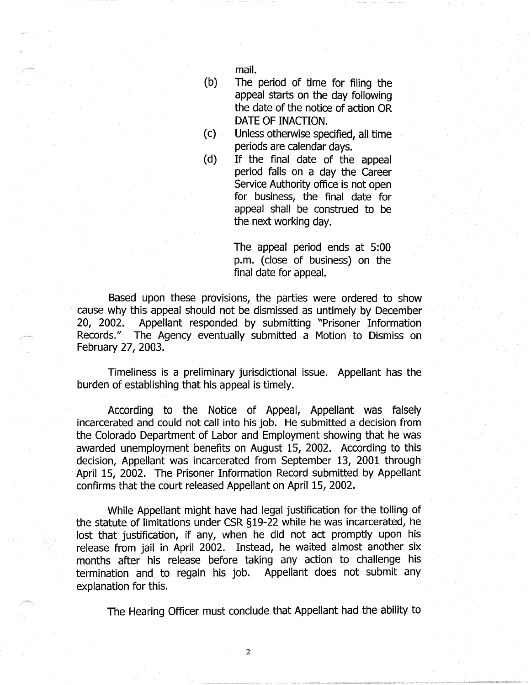mail.

- (b) The period of time for filing the appeal starts on the day following the date of the notice of action OR DATE OF INACTION.
- ( c) Unless otherwise specified, all time periods are calendar days.
- (d) If the final date of the appeal period falls on a day the Career Service Authority office is not open for business, the final date for appeal shall be construed to be the next working day.

The appeal period ends at 5:00 p.m. (close of business) on the final date for appeal.

Based upon these provisions, the parties were ordered to show cause why this appeal should not be dismissed as untimely by December 20, 2002. Appellant responded by submitting "Prisoner Information Records." The Agency eventually submitted a Motion to Dismiss on February 27, 2003.

Timeliness is a preliminary jurisdictional issue. Appellant has the burden of establishing that his appeal is timely.

According to the Notice of Appeal, Appellant was falsely incarcerated and could not call into his job. He submitted a decision from the Colorado Department of Labor and Employment showing that he was awarded unemployment benefits on August 15, 2002. According to this decision, Appellant was incarcerated from September 13, 2001 through April 15, 2002. The Prisoner Information Record submitted by Appellant confirms that the court released Appellant on April 15, 2002.

While Appellant might have had legal justification for the tolling of the statute of limitations under CSR §19-22 while he was incarcerated, he lost that justification, if any, when he did not act promptly upon his release from jail in April 2002. Instead, he waited almost another six months after his release before taking any action to challenge his termination and to regain his job. Appellant does not submit any explanation for this.

The Hearing Officer must conclude that Appellant had the ability to